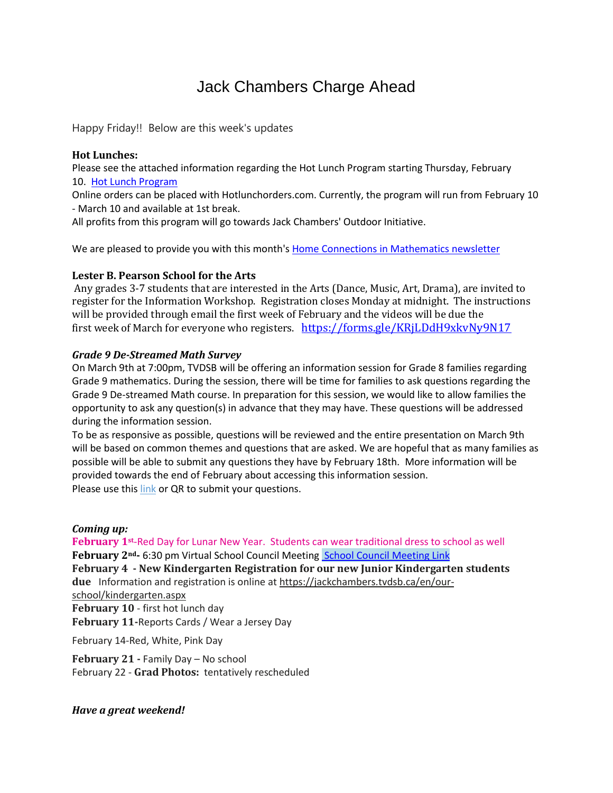# Jack Chambers Charge Ahead

Happy Friday!! Below are this week's updates

## **Hot Lunches:**

Please see the attached information regarding the Hot Lunch Program starting Thursday, February 10. Hot Lunch [Program](https://asp.schoolmessenger.ca/tvdsb/emailattachment.php?id=32255&name=Hot%20Lunch%20Flyer.pdf)

Online orders can be placed with Hotlunchorders.com. Currently, the program will run from February 10 - March 10 and available at 1st break.

All profits from this program will go towards Jack Chambers' Outdoor Initiative.

We are pleased to provide you with this month's Home Connections in [Mathematics](https://tvdsbo365.sharepoint.com/:w:/t/LSSeNewsletter/EYGBi3DVNaJNgHIi0gIRrdgBOewsEJZX1xdERGHTi2xXbw?e=GUYyjL) newsletter

# **Lester B. Pearson School for the Arts**

Any grades 3-7 students that are interested in the Arts (Dance, Music, Art, Drama), are invited to register for the Information Workshop. Registration closes Monday at midnight. The instructions will be provided through email the first week of February and the videos will be due the first week of March for everyone who registers. <https://forms.gle/KRjLDdH9xkvNy9N17>

## *Grade 9 De-Streamed Math Survey*

On March 9th at 7:00pm, TVDSB will be offering an information session for Grade 8 families regarding Grade 9 mathematics. During the session, there will be time for families to ask questions regarding the Grade 9 De-streamed Math course. In preparation for this session, we would like to allow families the opportunity to ask any question(s) in advance that they may have. These questions will be addressed during the information session.

To be as responsive as possible, questions will be reviewed and the entire presentation on March 9th will be based on common themes and questions that are asked. We are hopeful that as many families as possible will be able to submit any questions they have by February 18th. More information will be provided towards the end of February about accessing this information session. Please use this [link](https://forms.gle/bWjByn7XqJQgU4h28) or QR to submit your questions.

#### *Coming up:*

**February 1st**-Red Day for Lunar New Year. Students can wear traditional dress to school as well **February 2nd-** 6:30 pm Virtual School Council Meeting School Council [Meeting](https://teams.microsoft.com/l/meetup-join/19%3ameeting_NjYyYmFkMDAtMWEwMi00YThjLWJjMGQtODJiN2MyMDA5NGY4%40thread.v2/0?context=%7b%22Tid%22%3a%222024c5d6-bed5-4705-98ac-f83e64a78e99%22%2c%22Oid%22%3a%22ca388767-63c7-4846-9112-f9108a052c72%22%7d) Link **February 4 - New Kindergarten Registration for our new Junior Kindergarten students due** Information and registration is online at [https://jackchambers.tvdsb.ca/en/our](https://jackchambers.tvdsb.ca/en/our-school/kindergarten.aspx)[school/kindergarten.aspx](https://jackchambers.tvdsb.ca/en/our-school/kindergarten.aspx) **February 10** - first hot lunch day **February 11-**Reports Cards / Wear a Jersey Day

February 14-Red, White, Pink Day

**February 21 -** Family Day – No school February 22 - **Grad Photos:** tentatively rescheduled

*Have a great weekend!*